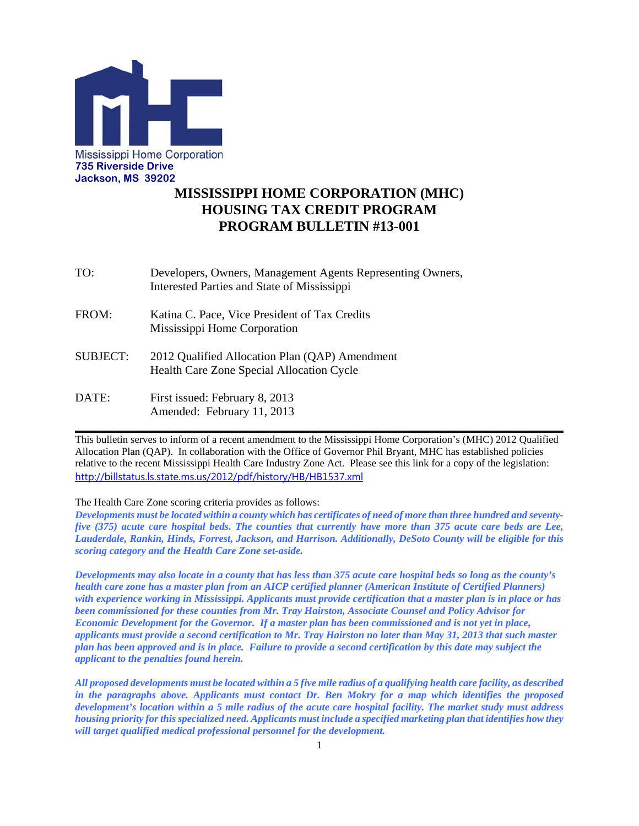

# **MISSISSIPPI HOME CORPORATION (MHC) HOUSING TAX CREDIT PROGRAM PROGRAM BULLETIN #13-001**

- TO: Developers, Owners, Management Agents Representing Owners, Interested Parties and State of Mississippi
- FROM: Katina C. Pace, Vice President of Tax Credits Mississippi Home Corporation
- SUBJECT: 2012 Qualified Allocation Plan (QAP) Amendment Health Care Zone Special Allocation Cycle
- DATE: First issued: February 8, 2013 Amended: February 11, 2013

This bulletin serves to inform of a recent amendment to the Mississippi Home Corporation's (MHC) 2012 Qualified Allocation Plan (QAP). In collaboration with the Office of Governor Phil Bryant, MHC has established policies relative to the recent Mississippi Health Care Industry Zone Act. Please see this link for a copy of the legislation: http://billstatus.ls.state.ms.us/2012/pdf/history/HB/HB1537.xml

**\_\_\_\_\_\_\_\_\_\_\_\_\_\_\_\_\_\_\_\_\_\_\_\_\_\_\_\_\_\_\_\_\_\_\_\_\_\_\_\_\_\_\_\_\_\_\_\_\_\_\_\_\_\_\_\_\_\_\_\_\_\_\_\_\_\_\_\_\_\_\_\_\_\_\_\_\_\_**

The Health Care Zone scoring criteria provides as follows:

*Developments must be located within a county which has certificates of need of more than three hundred and seventyfive (375) acute care hospital beds. The counties that currently have more than 375 acute care beds are Lee, Lauderdale, Rankin, Hinds, Forrest, Jackson, and Harrison. Additionally, DeSoto County will be eligible for this scoring category and the Health Care Zone set-aside.* 

*Developments may also locate in a county that has less than 375 acute care hospital beds so long as the county's health care zone has a master plan from an AICP certified planner (American Institute of Certified Planners) with experience working in Mississippi. Applicants must provide certification that a master plan is in place or has been commissioned for these counties from Mr. Tray Hairston, Associate Counsel and Policy Advisor for Economic Development for the Governor. If a master plan has been commissioned and is not yet in place, applicants must provide a second certification to Mr. Tray Hairston no later than May 31, 2013 that such master plan has been approved and is in place. Failure to provide a second certification by this date may subject the applicant to the penalties found herein.* 

*All proposed developments must be located within a 5 five mile radius of a qualifying health care facility, as described in the paragraphs above. Applicants must contact Dr. Ben Mokry for a map which identifies the proposed development's location within a 5 mile radius of the acute care hospital facility. The market study must address housing priority for this specialized need. Applicants must include a specified marketing plan that identifies how they will target qualified medical professional personnel for the development.*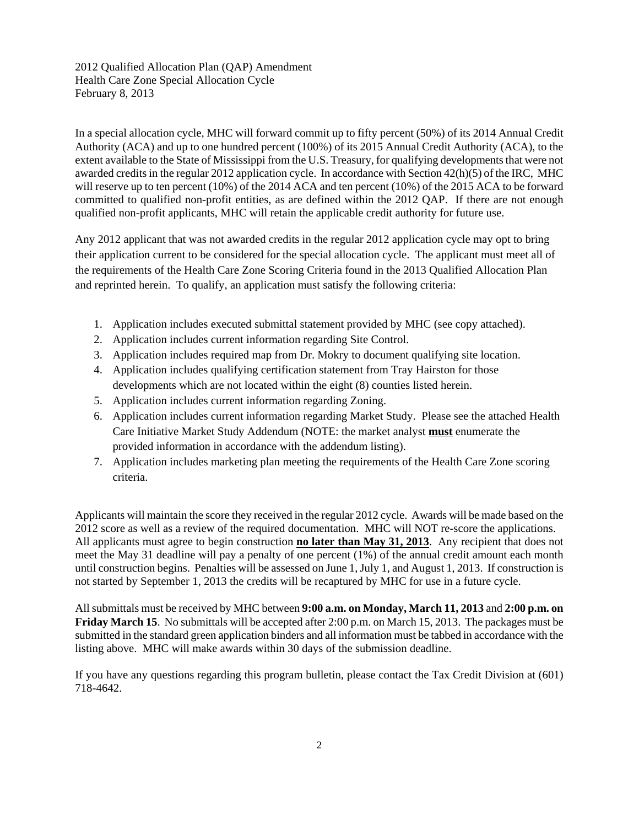2012 Qualified Allocation Plan (QAP) Amendment Health Care Zone Special Allocation Cycle February 8, 2013

In a special allocation cycle, MHC will forward commit up to fifty percent (50%) of its 2014 Annual Credit Authority (ACA) and up to one hundred percent (100%) of its 2015 Annual Credit Authority (ACA), to the extent available to the State of Mississippi from the U.S. Treasury, for qualifying developments that were not awarded credits in the regular 2012 application cycle. In accordance with Section 42(h)(5) of the IRC, MHC will reserve up to ten percent (10%) of the 2014 ACA and ten percent (10%) of the 2015 ACA to be forward committed to qualified non-profit entities, as are defined within the 2012 QAP. If there are not enough qualified non-profit applicants, MHC will retain the applicable credit authority for future use.

Any 2012 applicant that was not awarded credits in the regular 2012 application cycle may opt to bring their application current to be considered for the special allocation cycle. The applicant must meet all of the requirements of the Health Care Zone Scoring Criteria found in the 2013 Qualified Allocation Plan and reprinted herein. To qualify, an application must satisfy the following criteria:

- 1. Application includes executed submittal statement provided by MHC (see copy attached).
- 2. Application includes current information regarding Site Control.
- 3. Application includes required map from Dr. Mokry to document qualifying site location.
- 4. Application includes qualifying certification statement from Tray Hairston for those developments which are not located within the eight (8) counties listed herein.
- 5. Application includes current information regarding Zoning.
- 6. Application includes current information regarding Market Study. Please see the attached Health Care Initiative Market Study Addendum (NOTE: the market analyst **must** enumerate the provided information in accordance with the addendum listing).
- 7. Application includes marketing plan meeting the requirements of the Health Care Zone scoring criteria.

Applicants will maintain the score they received in the regular 2012 cycle. Awards will be made based on the 2012 score as well as a review of the required documentation. MHC will NOT re-score the applications. All applicants must agree to begin construction **no later than May 31, 2013**. Any recipient that does not meet the May 31 deadline will pay a penalty of one percent (1%) of the annual credit amount each month until construction begins. Penalties will be assessed on June 1, July 1, and August 1, 2013. If construction is not started by September 1, 2013 the credits will be recaptured by MHC for use in a future cycle.

All submittals must be received by MHC between **9:00 a.m. on Monday, March 11, 2013** and **2:00 p.m. on Friday March 15**. No submittals will be accepted after 2:00 p.m. on March 15, 2013. The packages must be submitted in the standard green application binders and all information must be tabbed in accordance with the listing above. MHC will make awards within 30 days of the submission deadline.

If you have any questions regarding this program bulletin, please contact the Tax Credit Division at (601) 718-4642.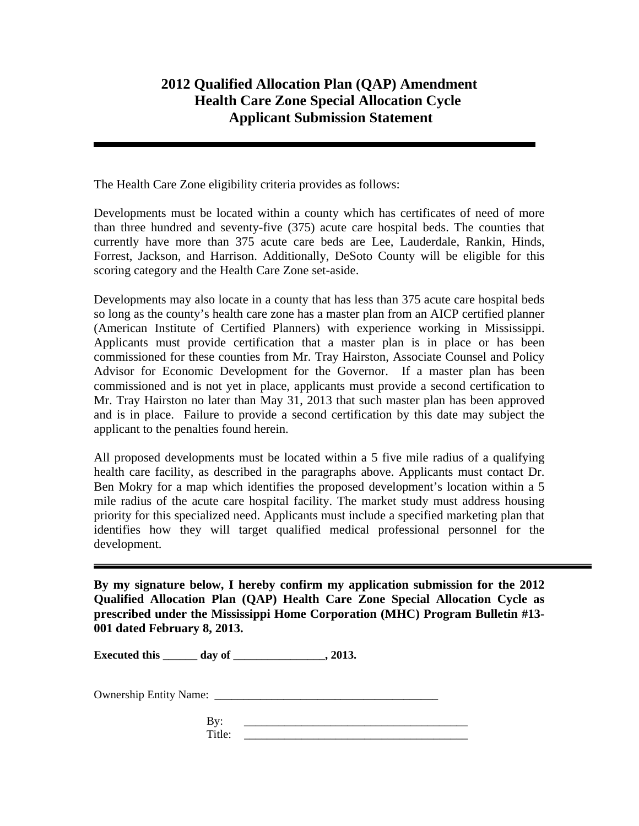## **2012 Qualified Allocation Plan (QAP) Amendment Health Care Zone Special Allocation Cycle Applicant Submission Statement**

The Health Care Zone eligibility criteria provides as follows:

Developments must be located within a county which has certificates of need of more than three hundred and seventy-five (375) acute care hospital beds. The counties that currently have more than 375 acute care beds are Lee, Lauderdale, Rankin, Hinds, Forrest, Jackson, and Harrison. Additionally, DeSoto County will be eligible for this scoring category and the Health Care Zone set-aside.

Developments may also locate in a county that has less than 375 acute care hospital beds so long as the county's health care zone has a master plan from an AICP certified planner (American Institute of Certified Planners) with experience working in Mississippi. Applicants must provide certification that a master plan is in place or has been commissioned for these counties from Mr. Tray Hairston, Associate Counsel and Policy Advisor for Economic Development for the Governor. If a master plan has been commissioned and is not yet in place, applicants must provide a second certification to Mr. Tray Hairston no later than May 31, 2013 that such master plan has been approved and is in place. Failure to provide a second certification by this date may subject the applicant to the penalties found herein.

All proposed developments must be located within a 5 five mile radius of a qualifying health care facility, as described in the paragraphs above. Applicants must contact Dr. Ben Mokry for a map which identifies the proposed development's location within a 5 mile radius of the acute care hospital facility. The market study must address housing priority for this specialized need. Applicants must include a specified marketing plan that identifies how they will target qualified medical professional personnel for the development.

**By my signature below, I hereby confirm my application submission for the 2012 Qualified Allocation Plan (QAP) Health Care Zone Special Allocation Cycle as prescribed under the Mississippi Home Corporation (MHC) Program Bulletin #13- 001 dated February 8, 2013.** 

**Executed this \_\_\_\_\_\_ day of \_\_\_\_\_\_\_\_\_\_\_\_\_\_\_\_, 2013.** 

Ownership Entity Name: